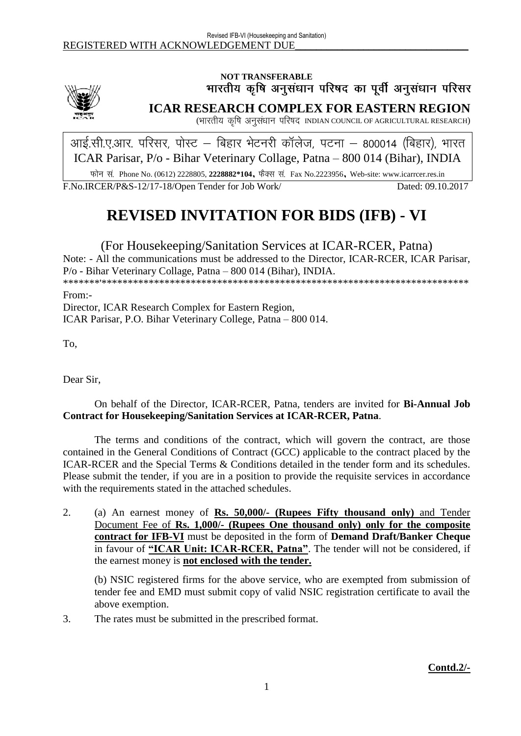

# NOT TRANSFERABLE<br>भारतीय कृषि अनुसंधान परिषद का पूर्वी अनुसंधान परिसर

**ICAR RESEARCH COMPLEX FOR EASTERN REGION**

(भारतीय कृषि अनुसंधान परिषद INDIAN COUNCIL OF AGRICULTURAL RESEARCH)

आई.सी.ए.आर. परिसर, पोस्ट – बिहार भेटनरी कॉलेज, पटना – 800014 (बिहार), भारत ICAR Parisar, P/o - Bihar Veterinary Collage, Patna – 800 014 (Bihar), INDIA

Phone No. (0612) 2228805, **2228882\*104**, Fax No.2223956, Web-site: www.icarrcer.res.in

F.No.IRCER/P&S-12/17-18/Open Tender for Job Work/ Dated: 09.10.2017

# **REVISED INVITATION FOR BIDS (IFB) - VI**

(For Housekeeping/Sanitation Services at ICAR-RCER, Patna) Note: - All the communications must be addressed to the Director, ICAR-RCER, ICAR Parisar, P/o - Bihar Veterinary Collage, Patna – 800 014 (Bihar), INDIA. \*\*\*\*\*\*\*'\*\*\*\*\*\*\*\*\*\*\*\*\*\*\*\*\*\*\*\*\*\*\*\*\*\*\*\*\*\*\*\*\*\*\*\*\*\*\*\*\*\*\*\*\*\*\*\*\*\*\*\*\*\*\*\*\*\*\*\*\*\*\*\*\*\*\*\*\*\*

From:-

Director, ICAR Research Complex for Eastern Region, ICAR Parisar, P.O. Bihar Veterinary College, Patna – 800 014.

To,

Dear Sir,

### On behalf of the Director, ICAR-RCER, Patna, tenders are invited for **Bi-Annual Job Contract for Housekeeping/Sanitation Services at ICAR-RCER, Patna**.

The terms and conditions of the contract, which will govern the contract, are those contained in the General Conditions of Contract (GCC) applicable to the contract placed by the ICAR-RCER and the Special Terms & Conditions detailed in the tender form and its schedules. Please submit the tender, if you are in a position to provide the requisite services in accordance with the requirements stated in the attached schedules.

2. (a) An earnest money of **Rs. 50,000/- (Rupees Fifty thousand only)** and Tender Document Fee of **Rs. 1,000/- (Rupees One thousand only) only for the composite contract for IFB-VI** must be deposited in the form of **Demand Draft/Banker Cheque** in favour of **"ICAR Unit: ICAR-RCER, Patna"**. The tender will not be considered, if the earnest money is **not enclosed with the tender.**

(b) NSIC registered firms for the above service, who are exempted from submission of tender fee and EMD must submit copy of valid NSIC registration certificate to avail the above exemption.

3. The rates must be submitted in the prescribed format.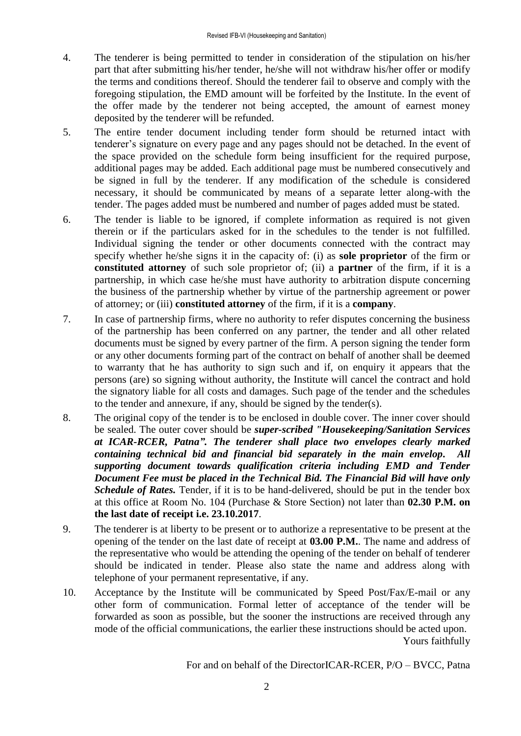- 4. The tenderer is being permitted to tender in consideration of the stipulation on his/her part that after submitting his/her tender, he/she will not withdraw his/her offer or modify the terms and conditions thereof. Should the tenderer fail to observe and comply with the foregoing stipulation, the EMD amount will be forfeited by the Institute. In the event of the offer made by the tenderer not being accepted, the amount of earnest money deposited by the tenderer will be refunded.
- 5. The entire tender document including tender form should be returned intact with tenderer's signature on every page and any pages should not be detached. In the event of the space provided on the schedule form being insufficient for the required purpose, additional pages may be added. Each additional page must be numbered consecutively and be signed in full by the tenderer. If any modification of the schedule is considered necessary, it should be communicated by means of a separate letter along-with the tender. The pages added must be numbered and number of pages added must be stated.
- 6. The tender is liable to be ignored, if complete information as required is not given therein or if the particulars asked for in the schedules to the tender is not fulfilled. Individual signing the tender or other documents connected with the contract may specify whether he/she signs it in the capacity of: (i) as **sole proprietor** of the firm or **constituted attorney** of such sole proprietor of; (ii) a **partner** of the firm, if it is a partnership, in which case he/she must have authority to arbitration dispute concerning the business of the partnership whether by virtue of the partnership agreement or power of attorney; or (iii) **constituted attorney** of the firm, if it is a **company**.
- 7. In case of partnership firms, where no authority to refer disputes concerning the business of the partnership has been conferred on any partner, the tender and all other related documents must be signed by every partner of the firm. A person signing the tender form or any other documents forming part of the contract on behalf of another shall be deemed to warranty that he has authority to sign such and if, on enquiry it appears that the persons (are) so signing without authority, the Institute will cancel the contract and hold the signatory liable for all costs and damages. Such page of the tender and the schedules to the tender and annexure, if any, should be signed by the tender(s).
- 8. The original copy of the tender is to be enclosed in double cover. The inner cover should be sealed. The outer cover should be *super-scribed "Housekeeping/Sanitation Services at ICAR-RCER, Patna". The tenderer shall place two envelopes clearly marked containing technical bid and financial bid separately in the main envelop. All supporting document towards qualification criteria including EMD and Tender Document Fee must be placed in the Technical Bid. The Financial Bid will have only Schedule of Rates.* Tender, if it is to be hand-delivered, should be put in the tender box at this office at Room No. 104 (Purchase & Store Section) not later than **02.30 P.M. on the last date of receipt i.e. 23.10.2017**.
- 9. The tenderer is at liberty to be present or to authorize a representative to be present at the opening of the tender on the last date of receipt at **03.00 P.M.**. The name and address of the representative who would be attending the opening of the tender on behalf of tenderer should be indicated in tender. Please also state the name and address along with telephone of your permanent representative, if any.
- 10. Acceptance by the Institute will be communicated by Speed Post/Fax/E-mail or any other form of communication. Formal letter of acceptance of the tender will be forwarded as soon as possible, but the sooner the instructions are received through any mode of the official communications, the earlier these instructions should be acted upon. Yours faithfully

For and on behalf of the DirectorICAR-RCER, P/O – BVCC, Patna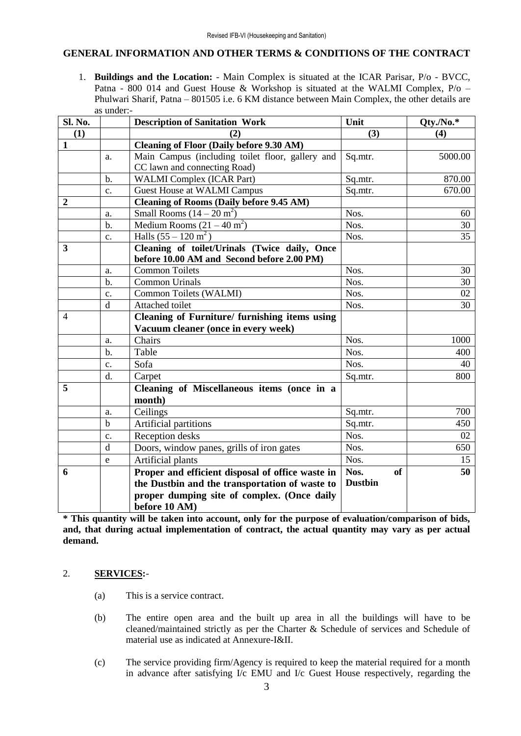### **GENERAL INFORMATION AND OTHER TERMS & CONDITIONS OF THE CONTRACT**

1. **Buildings and the Location:** - Main Complex is situated at the ICAR Parisar, P/o - BVCC, Patna - 800 014 and Guest House & Workshop is situated at the WALMI Complex, P/o – Phulwari Sharif, Patna – 801505 i.e. 6 KM distance between Main Complex, the other details are as under:-

| Sl. No.          |                | <b>Description of Sanitation Work</b>            | Unit              | Qty./No.* |
|------------------|----------------|--------------------------------------------------|-------------------|-----------|
| (1)              |                | (2)                                              | (3)               | (4)       |
| $\mathbf{1}$     |                | <b>Cleaning of Floor (Daily before 9.30 AM)</b>  |                   |           |
|                  | a.             | Main Campus (including toilet floor, gallery and | Sq.mtr.           | 5000.00   |
|                  |                | CC lawn and connecting Road)                     |                   |           |
|                  | $\mathbf{b}$ . | <b>WALMI</b> Complex (ICAR Part)                 | Sq.mtr.           | 870.00    |
|                  | c.             | <b>Guest House at WALMI Campus</b>               | Sq.mtr.           | 670.00    |
| $\boldsymbol{2}$ |                | <b>Cleaning of Rooms (Daily before 9.45 AM)</b>  |                   |           |
|                  | a.             | Small Rooms $(14-20 \text{ m}^2)$                | Nos.              | 60        |
|                  | $b$ .          | Medium Rooms $(21 – 40 m2)$                      | Nos.              | 30        |
|                  | $C_{\bullet}$  | Halls $(55 - 120 \text{ m}^2)$                   | Nos.              | 35        |
| 3                |                | Cleaning of toilet/Urinals (Twice daily, Once    |                   |           |
|                  |                | before 10.00 AM and Second before 2.00 PM)       |                   |           |
|                  | a.             | Common Toilets                                   | Nos.              | 30        |
|                  | $b$            | <b>Common Urinals</b>                            | Nos.              | 30        |
|                  | $\mathbf{c}$ . | Common Toilets (WALMI)                           | Nos.              | 02        |
|                  | $\mathbf d$    | Attached toilet                                  | Nos.              | 30        |
| $\overline{4}$   |                | Cleaning of Furniture/ furnishing items using    |                   |           |
|                  |                | Vacuum cleaner (once in every week)              |                   |           |
|                  | a.             | Chairs                                           | Nos.              | 1000      |
|                  | $b$ .          | Table                                            | Nos.              | 400       |
|                  | $\mathbf{c}$ . | Sofa                                             | Nos.              | 40        |
|                  | d.             | Carpet                                           | Sq.mtr.           | 800       |
| 5                |                | Cleaning of Miscellaneous items (once in a       |                   |           |
|                  |                | month)                                           |                   |           |
|                  | a.             | Ceilings                                         | Sq.mtr.           | 700       |
|                  | $\mathbf b$    | Artificial partitions                            | Sq.mtr.           | 450       |
|                  | c.             | Reception desks                                  | Nos.              | 02        |
|                  | d              | Doors, window panes, grills of iron gates        | Nos.              | 650       |
|                  | e              | Artificial plants                                | Nos.              | 15        |
| 6                |                | Proper and efficient disposal of office waste in | Nos.<br><b>of</b> | 50        |
|                  |                | the Dustbin and the transportation of waste to   | <b>Dustbin</b>    |           |
|                  |                | proper dumping site of complex. (Once daily      |                   |           |
|                  |                | before 10 AM)                                    |                   |           |

**\* This quantity will be taken into account, only for the purpose of evaluation/comparison of bids, and, that during actual implementation of contract, the actual quantity may vary as per actual demand.**

### 2. **SERVICES:**-

- (a) This is a service contract.
- (b) The entire open area and the built up area in all the buildings will have to be cleaned/maintained strictly as per the Charter & Schedule of services and Schedule of material use as indicated at Annexure-I&II.
- (c) The service providing firm/Agency is required to keep the material required for a month in advance after satisfying I/c EMU and I/c Guest House respectively, regarding the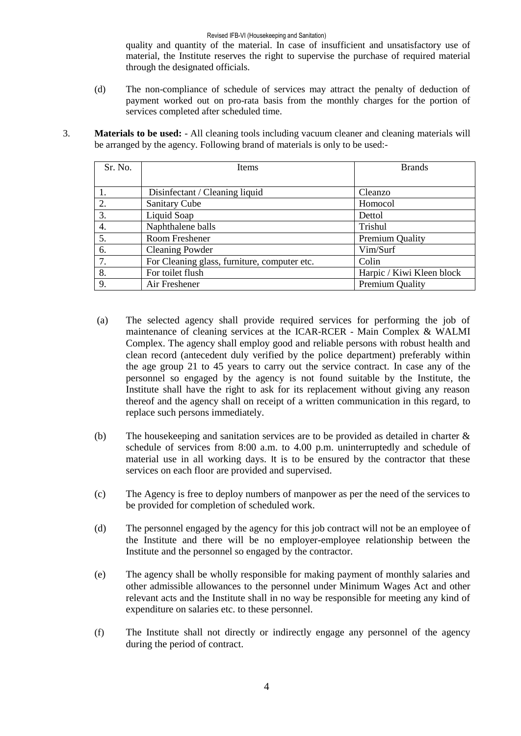#### Revised IFB-VI (Housekeeping and Sanitation)

quality and quantity of the material. In case of insufficient and unsatisfactory use of material, the Institute reserves the right to supervise the purchase of required material through the designated officials.

- (d) The non-compliance of schedule of services may attract the penalty of deduction of payment worked out on pro-rata basis from the monthly charges for the portion of services completed after scheduled time.
- 3. **Materials to be used:**  All cleaning tools including vacuum cleaner and cleaning materials will be arranged by the agency. Following brand of materials is only to be used:-

| Sr. No. | Items                                        | <b>Brands</b>             |
|---------|----------------------------------------------|---------------------------|
|         |                                              |                           |
|         | Disinfectant / Cleaning liquid               | Cleanzo                   |
| 2.      | <b>Sanitary Cube</b>                         | Homocol                   |
| 3.      | Liquid Soap                                  | Dettol                    |
| 4.      | Naphthalene balls                            | Trishul                   |
| 5.      | Room Freshener                               | <b>Premium Quality</b>    |
| 6.      | <b>Cleaning Powder</b>                       | Vim/Surf                  |
| 7.      | For Cleaning glass, furniture, computer etc. | Colin                     |
| 8.      | For toilet flush                             | Harpic / Kiwi Kleen block |
| 9.      | Air Freshener                                | <b>Premium Quality</b>    |

- (a) The selected agency shall provide required services for performing the job of maintenance of cleaning services at the ICAR-RCER - Main Complex & WALMI Complex. The agency shall employ good and reliable persons with robust health and clean record (antecedent duly verified by the police department) preferably within the age group 21 to 45 years to carry out the service contract. In case any of the personnel so engaged by the agency is not found suitable by the Institute, the Institute shall have the right to ask for its replacement without giving any reason thereof and the agency shall on receipt of a written communication in this regard, to replace such persons immediately.
- (b) The housekeeping and sanitation services are to be provided as detailed in charter & schedule of services from 8:00 a.m. to 4.00 p.m. uninterruptedly and schedule of material use in all working days. It is to be ensured by the contractor that these services on each floor are provided and supervised.
- (c) The Agency is free to deploy numbers of manpower as per the need of the services to be provided for completion of scheduled work.
- (d) The personnel engaged by the agency for this job contract will not be an employee of the Institute and there will be no employer-employee relationship between the Institute and the personnel so engaged by the contractor.
- (e) The agency shall be wholly responsible for making payment of monthly salaries and other admissible allowances to the personnel under Minimum Wages Act and other relevant acts and the Institute shall in no way be responsible for meeting any kind of expenditure on salaries etc. to these personnel.
- (f) The Institute shall not directly or indirectly engage any personnel of the agency during the period of contract.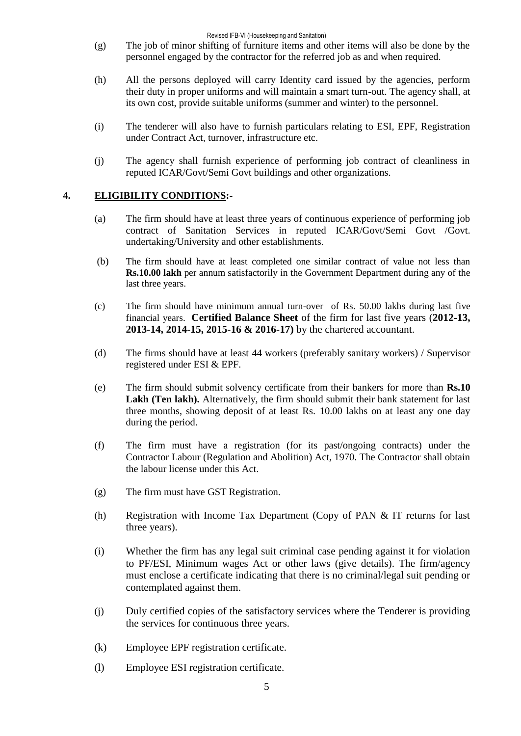- (g) The job of minor shifting of furniture items and other items will also be done by the personnel engaged by the contractor for the referred job as and when required.
- (h) All the persons deployed will carry Identity card issued by the agencies, perform their duty in proper uniforms and will maintain a smart turn-out. The agency shall, at its own cost, provide suitable uniforms (summer and winter) to the personnel.
- (i) The tenderer will also have to furnish particulars relating to ESI, EPF, Registration under Contract Act, turnover, infrastructure etc.
- (j) The agency shall furnish experience of performing job contract of cleanliness in reputed ICAR/Govt/Semi Govt buildings and other organizations.

### **4. ELIGIBILITY CONDITIONS:-**

- (a) The firm should have at least three years of continuous experience of performing job contract of Sanitation Services in reputed ICAR/Govt/Semi Govt /Govt. undertaking/University and other establishments.
- (b) The firm should have at least completed one similar contract of value not less than **Rs.10.00 lakh** per annum satisfactorily in the Government Department during any of the last three years.
- (c) The firm should have minimum annual turn-over of Rs. 50.00 lakhs during last five financial years. **Certified Balance Sheet** of the firm for last five years (**2012-13, 2013-14, 2014-15, 2015-16 & 2016-17)** by the chartered accountant.
- (d) The firms should have at least 44 workers (preferably sanitary workers) / Supervisor registered under ESI & EPF.
- (e) The firm should submit solvency certificate from their bankers for more than **Rs.10 Lakh (Ten lakh).** Alternatively, the firm should submit their bank statement for last three months, showing deposit of at least Rs. 10.00 lakhs on at least any one day during the period.
- (f) The firm must have a registration (for its past/ongoing contracts) under the Contractor Labour (Regulation and Abolition) Act, 1970. The Contractor shall obtain the labour license under this Act.
- (g) The firm must have GST Registration.
- (h) Registration with Income Tax Department (Copy of PAN & IT returns for last three years).
- (i) Whether the firm has any legal suit criminal case pending against it for violation to PF/ESI, Minimum wages Act or other laws (give details). The firm/agency must enclose a certificate indicating that there is no criminal/legal suit pending or contemplated against them.
- (j) Duly certified copies of the satisfactory services where the Tenderer is providing the services for continuous three years.
- (k) Employee EPF registration certificate.
- (l) Employee ESI registration certificate.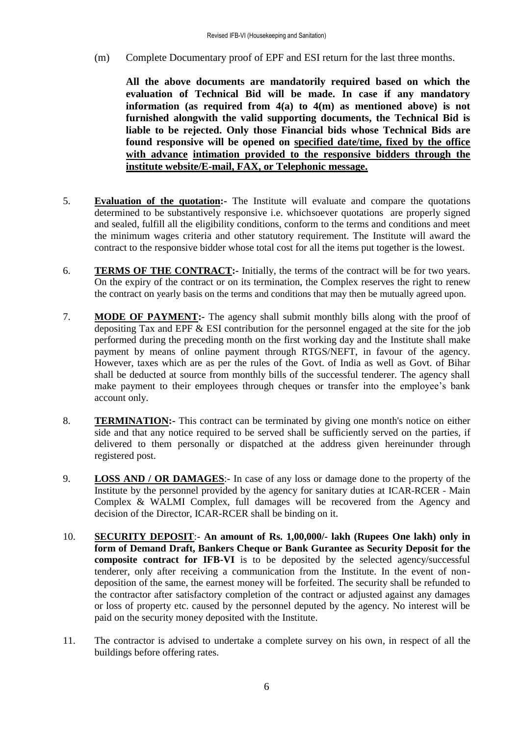(m) Complete Documentary proof of EPF and ESI return for the last three months.

**All the above documents are mandatorily required based on which the evaluation of Technical Bid will be made. In case if any mandatory information (as required from 4(a) to 4(m) as mentioned above) is not furnished alongwith the valid supporting documents, the Technical Bid is liable to be rejected. Only those Financial bids whose Technical Bids are found responsive will be opened on specified date/time, fixed by the office with advance intimation provided to the responsive bidders through the institute website/E-mail, FAX, or Telephonic message.**

- 5. **Evaluation of the quotation:-** The Institute will evaluate and compare the quotations determined to be substantively responsive i.e. whichsoever quotations are properly signed and sealed, fulfill all the eligibility conditions, conform to the terms and conditions and meet the minimum wages criteria and other statutory requirement. The Institute will award the contract to the responsive bidder whose total cost for all the items put together is the lowest.
- 6. **TERMS OF THE CONTRACT:-** Initially, the terms of the contract will be for two years. On the expiry of the contract or on its termination, the Complex reserves the right to renew the contract on yearly basis on the terms and conditions that may then be mutually agreed upon.
- 7. **MODE OF PAYMENT:-** The agency shall submit monthly bills along with the proof of depositing Tax and EPF & ESI contribution for the personnel engaged at the site for the job performed during the preceding month on the first working day and the Institute shall make payment by means of online payment through RTGS/NEFT, in favour of the agency. However, taxes which are as per the rules of the Govt. of India as well as Govt. of Bihar shall be deducted at source from monthly bills of the successful tenderer. The agency shall make payment to their employees through cheques or transfer into the employee's bank account only.
- 8. **TERMINATION:-** This contract can be terminated by giving one month's notice on either side and that any notice required to be served shall be sufficiently served on the parties, if delivered to them personally or dispatched at the address given hereinunder through registered post.
- 9. **LOSS AND / OR DAMAGES**:- In case of any loss or damage done to the property of the Institute by the personnel provided by the agency for sanitary duties at ICAR-RCER - Main Complex & WALMI Complex, full damages will be recovered from the Agency and decision of the Director, ICAR-RCER shall be binding on it.
- 10. **SECURITY DEPOSIT**:- **An amount of Rs. 1,00,000/- lakh (Rupees One lakh) only in form of Demand Draft, Bankers Cheque or Bank Gurantee as Security Deposit for the composite contract for IFB-VI** is to be deposited by the selected agency/successful tenderer, only after receiving a communication from the Institute. In the event of nondeposition of the same, the earnest money will be forfeited. The security shall be refunded to the contractor after satisfactory completion of the contract or adjusted against any damages or loss of property etc. caused by the personnel deputed by the agency. No interest will be paid on the security money deposited with the Institute.
- 11. The contractor is advised to undertake a complete survey on his own, in respect of all the buildings before offering rates.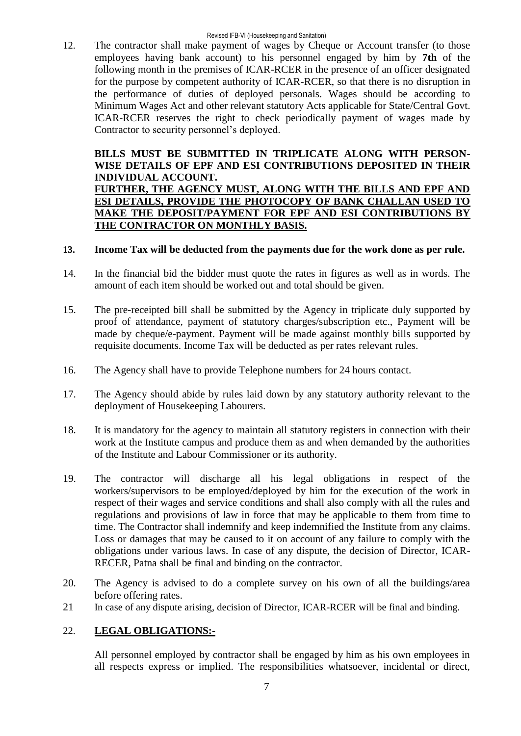12. The contractor shall make payment of wages by Cheque or Account transfer (to those employees having bank account) to his personnel engaged by him by **7th** of the following month in the premises of ICAR-RCER in the presence of an officer designated for the purpose by competent authority of ICAR-RCER, so that there is no disruption in the performance of duties of deployed personals. Wages should be according to Minimum Wages Act and other relevant statutory Acts applicable for State/Central Govt. ICAR-RCER reserves the right to check periodically payment of wages made by Contractor to security personnel's deployed.

### **BILLS MUST BE SUBMITTED IN TRIPLICATE ALONG WITH PERSON-WISE DETAILS OF EPF AND ESI CONTRIBUTIONS DEPOSITED IN THEIR INDIVIDUAL ACCOUNT. FURTHER, THE AGENCY MUST, ALONG WITH THE BILLS AND EPF AND ESI DETAILS, PROVIDE THE PHOTOCOPY OF BANK CHALLAN USED TO MAKE THE DEPOSIT/PAYMENT FOR EPF AND ESI CONTRIBUTIONS BY THE CONTRACTOR ON MONTHLY BASIS.**

### **13. Income Tax will be deducted from the payments due for the work done as per rule.**

- 14. In the financial bid the bidder must quote the rates in figures as well as in words. The amount of each item should be worked out and total should be given.
- 15. The pre-receipted bill shall be submitted by the Agency in triplicate duly supported by proof of attendance, payment of statutory charges/subscription etc., Payment will be made by cheque/e-payment. Payment will be made against monthly bills supported by requisite documents. Income Tax will be deducted as per rates relevant rules.
- 16. The Agency shall have to provide Telephone numbers for 24 hours contact.
- 17. The Agency should abide by rules laid down by any statutory authority relevant to the deployment of Housekeeping Labourers.
- 18. It is mandatory for the agency to maintain all statutory registers in connection with their work at the Institute campus and produce them as and when demanded by the authorities of the Institute and Labour Commissioner or its authority.
- 19. The contractor will discharge all his legal obligations in respect of the workers/supervisors to be employed/deployed by him for the execution of the work in respect of their wages and service conditions and shall also comply with all the rules and regulations and provisions of law in force that may be applicable to them from time to time. The Contractor shall indemnify and keep indemnified the Institute from any claims. Loss or damages that may be caused to it on account of any failure to comply with the obligations under various laws. In case of any dispute, the decision of Director, ICAR-RECER, Patna shall be final and binding on the contractor.
- 20. The Agency is advised to do a complete survey on his own of all the buildings/area before offering rates.
- 21 In case of any dispute arising, decision of Director, ICAR-RCER will be final and binding.

### 22. **LEGAL OBLIGATIONS:-**

All personnel employed by contractor shall be engaged by him as his own employees in all respects express or implied. The responsibilities whatsoever, incidental or direct,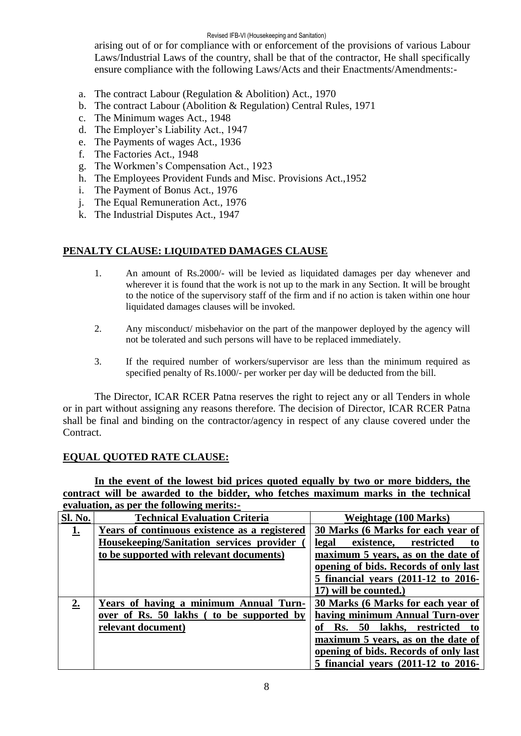#### Revised IFB-VI (Housekeeping and Sanitation)

arising out of or for compliance with or enforcement of the provisions of various Labour Laws/Industrial Laws of the country, shall be that of the contractor, He shall specifically ensure compliance with the following Laws/Acts and their Enactments/Amendments:-

- a. The contract Labour (Regulation & Abolition) Act., 1970
- b. The contract Labour (Abolition & Regulation) Central Rules, 1971
- c. The Minimum wages Act., 1948
- d. The Employer's Liability Act., 1947
- e. The Payments of wages Act., 1936
- f. The Factories Act., 1948
- g. The Workmen's Compensation Act., 1923
- h. The Employees Provident Funds and Misc. Provisions Act.,1952
- i. The Payment of Bonus Act., 1976
- j. The Equal Remuneration Act., 1976
- k. The Industrial Disputes Act., 1947

### **PENALTY CLAUSE: LIQUIDATED DAMAGES CLAUSE**

- 1. An amount of Rs.2000/- will be levied as liquidated damages per day whenever and wherever it is found that the work is not up to the mark in any Section. It will be brought to the notice of the supervisory staff of the firm and if no action is taken within one hour liquidated damages clauses will be invoked.
- 2. Any misconduct/ misbehavior on the part of the manpower deployed by the agency will not be tolerated and such persons will have to be replaced immediately.
- 3. If the required number of workers/supervisor are less than the minimum required as specified penalty of Rs.1000/- per worker per day will be deducted from the bill.

The Director, ICAR RCER Patna reserves the right to reject any or all Tenders in whole or in part without assigning any reasons therefore. The decision of Director, ICAR RCER Patna shall be final and binding on the contractor/agency in respect of any clause covered under the Contract.

### **EQUAL QUOTED RATE CLAUSE:**

**In the event of the lowest bid prices quoted equally by two or more bidders, the contract will be awarded to the bidder, who fetches maximum marks in the technical evaluation, as per the following merits:-**

| <b>Sl. No.</b> | <b>Technical Evaluation Criteria</b>          | Weightage (100 Marks)                 |
|----------------|-----------------------------------------------|---------------------------------------|
| <u>1.</u>      | Years of continuous existence as a registered | 30 Marks (6 Marks for each year of    |
|                | Housekeeping/Sanitation services provider     | existence, restricted<br>legal<br>to  |
|                | to be supported with relevant documents)      | maximum 5 years, as on the date of    |
|                |                                               | opening of bids. Records of only last |
|                |                                               | 5 financial years (2011-12 to 2016-   |
|                |                                               | 17) will be counted.)                 |
| 2.             | Years of having a minimum Annual Turn-        | 30 Marks (6 Marks for each year of    |
|                | over of Rs. 50 lakhs (to be supported by      | having minimum Annual Turn-over       |
|                | relevant document)                            | Rs. 50 lakhs, restricted<br>оf<br>to  |
|                |                                               | maximum 5 years, as on the date of    |
|                |                                               | opening of bids. Records of only last |
|                |                                               | 5 financial years (2011-12 to 2016-   |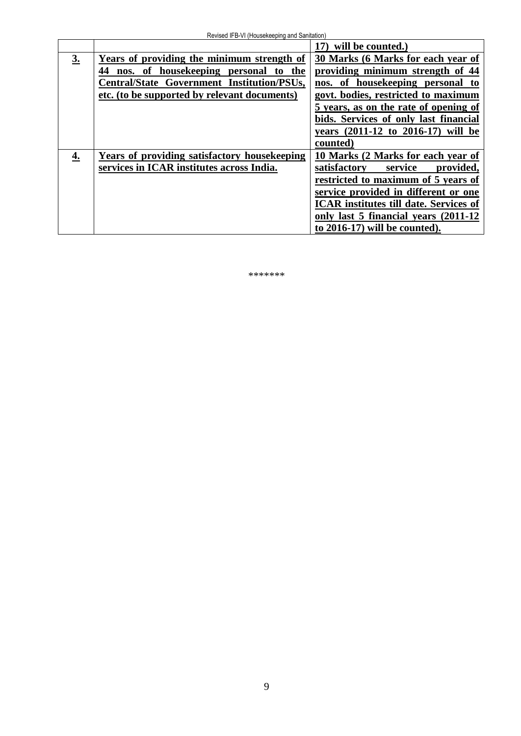|    |                                               | 17) will be counted.                          |
|----|-----------------------------------------------|-----------------------------------------------|
| 3. | Years of providing the minimum strength of    | 30 Marks (6 Marks for each year of            |
|    | nos. of housekeeping personal<br>44<br>to the | providing minimum strength of 44              |
|    | Central/State Government Institution/PSUs,    | nos. of housekeeping personal to              |
|    | etc. (to be supported by relevant documents)  | govt. bodies, restricted to maximum           |
|    |                                               | 5 years, as on the rate of opening of         |
|    |                                               | bids. Services of only last financial         |
|    |                                               | years (2011-12 to 2016-17) will be            |
|    |                                               | counted)                                      |
| 4. | Years of providing satisfactory housekeeping  | 10 Marks (2 Marks for each year of            |
|    | services in ICAR institutes across India.     | satisfactory<br>provided,<br>service          |
|    |                                               | restricted to maximum of 5 years of           |
|    |                                               | service provided in different or one          |
|    |                                               | <b>ICAR</b> institutes till date. Services of |
|    |                                               | only last 5 financial years (2011-12)         |
|    |                                               | to 2016-17) will be counted).                 |

\*\*\*\*\*\*\*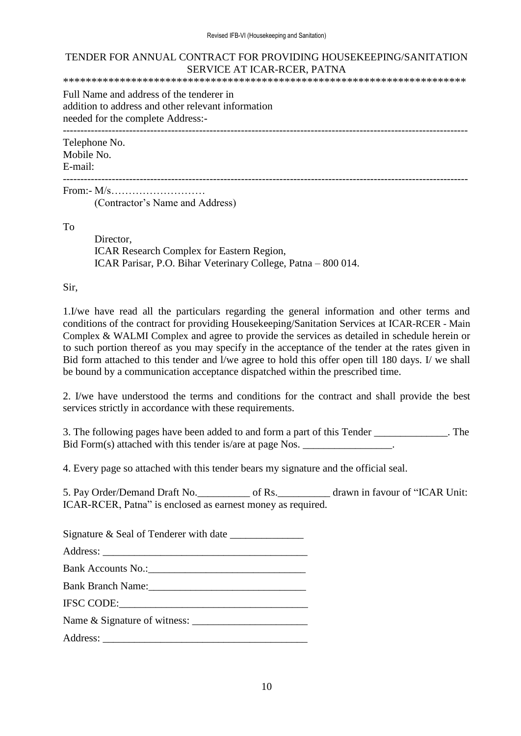### TENDER FOR ANNUAL CONTRACT FOR PROVIDING HOUSEKEEPING/SANITATION SERVICE AT ICAR-RCER, PATNA

\*\*\*\*\*\*\*\*\*\*\*\*\*\*\*\*\*\*\*\*\*\*\*\*\*\*\*\*\*\*\*\*\*\*\*\*\*\*\*\*\*\*\*\*\*\*\*\*\*\*\*\*\*\*\*\*\*\*\*\*\*\*\*\*\*\*\*\*\*\*\*

Full Name and address of the tenderer in addition to address and other relevant information needed for the complete Address:-

--------------------------------------------------------------------------------------------------------------------

Telephone No. Mobile No.

E-mail: --------------------------------------------------------------------------------------------------------------------

From:-  $M/s$ (Contractor's Name and Address)

To

Director, ICAR Research Complex for Eastern Region, ICAR Parisar, P.O. Bihar Veterinary College, Patna – 800 014.

Sir,

1.I/we have read all the particulars regarding the general information and other terms and conditions of the contract for providing Housekeeping/Sanitation Services at ICAR-RCER - Main Complex & WALMI Complex and agree to provide the services as detailed in schedule herein or to such portion thereof as you may specify in the acceptance of the tender at the rates given in Bid form attached to this tender and l/we agree to hold this offer open till 180 days. I/ we shall be bound by a communication acceptance dispatched within the prescribed time.

2. I/we have understood the terms and conditions for the contract and shall provide the best services strictly in accordance with these requirements.

3. The following pages have been added to and form a part of this Tender \_\_\_\_\_\_\_\_\_\_\_\_\_\_. The Bid Form(s) attached with this tender is/are at page Nos. \_\_\_\_\_\_\_\_\_\_\_\_\_\_\_\_.

4. Every page so attached with this tender bears my signature and the official seal.

5. Pay Order/Demand Draft No.  $\qquad \qquad$  of Rs.  $\qquad \qquad$  drawn in favour of "ICAR Unit: ICAR-RCER, Patna" is enclosed as earnest money as required.

Signature  $\&$  Seal of Tenderer with date

Address:

Bank Accounts No.:

Bank Branch Name:

IFSC CODE:\_\_\_\_\_\_\_\_\_\_\_\_\_\_\_\_\_\_\_\_\_\_\_\_\_\_\_\_\_\_\_\_\_\_\_\_

Name & Signature of witness: \_\_\_\_\_\_\_\_\_\_\_\_\_\_\_\_\_\_\_\_\_\_

Address: \_\_\_\_\_\_\_\_\_\_\_\_\_\_\_\_\_\_\_\_\_\_\_\_\_\_\_\_\_\_\_\_\_\_\_\_\_\_\_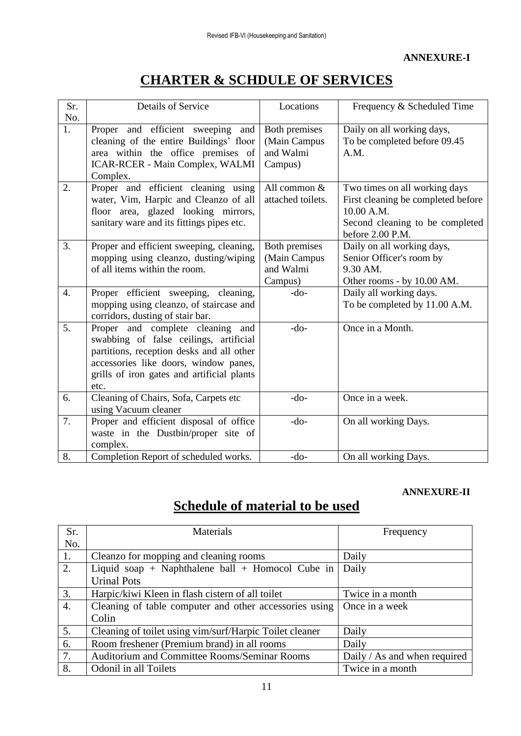# **CHARTER & SCHDULE OF SERVICES**

|                  | <b>Details of Service</b>                  | Locations         |                                    |
|------------------|--------------------------------------------|-------------------|------------------------------------|
| Sr.              |                                            |                   | Frequency & Scheduled Time         |
| No.              |                                            |                   |                                    |
| 1.               | Proper and efficient sweeping and          | Both premises     | Daily on all working days,         |
|                  | cleaning of the entire Buildings' floor    | (Main Campus      | To be completed before 09.45       |
|                  | area within the office premises of         | and Walmi         | A.M.                               |
|                  | ICAR-RCER - Main Complex, WALMI            | Campus)           |                                    |
|                  | Complex.                                   |                   |                                    |
| 2.               | Proper and efficient cleaning using        | All common &      | Two times on all working days      |
|                  | water, Vim, Harpic and Cleanzo of all      | attached toilets. | First cleaning be completed before |
|                  | floor area, glazed looking mirrors,        |                   | 10.00 A.M.                         |
|                  | sanitary ware and its fittings pipes etc.  |                   | Second cleaning to be completed    |
|                  |                                            |                   | before 2.00 P.M.                   |
| 3.               | Proper and efficient sweeping, cleaning,   | Both premises     | Daily on all working days,         |
|                  | mopping using cleanzo, dusting/wiping      | (Main Campus      | Senior Officer's room by           |
|                  | of all items within the room.              | and Walmi         | 9.30 AM.                           |
|                  |                                            | Campus)           | Other rooms - by 10.00 AM.         |
| $\overline{4}$ . | Proper efficient sweeping, cleaning,       | $-do-$            | Daily all working days.            |
|                  | mopping using cleanzo, of staircase and    |                   | To be completed by 11.00 A.M.      |
|                  | corridors, dusting of stair bar.           |                   |                                    |
| 5.               | Proper and complete cleaning and           | $-do-$            | Once in a Month.                   |
|                  | swabbing of false ceilings, artificial     |                   |                                    |
|                  | partitions, reception desks and all other  |                   |                                    |
|                  | accessories like doors, window panes,      |                   |                                    |
|                  | grills of iron gates and artificial plants |                   |                                    |
|                  | etc.                                       |                   |                                    |
| 6.               | Cleaning of Chairs, Sofa, Carpets etc      | $-do-$            | Once in a week.                    |
|                  | using Vacuum cleaner                       |                   |                                    |
| 7.               | Proper and efficient disposal of office    | $-do-$            | On all working Days.               |
|                  | waste in the Dustbin/proper site of        |                   |                                    |
|                  | complex.                                   |                   |                                    |
| 8.               | Completion Report of scheduled works.      | $-do-$            | On all working Days.               |

### **ANNEXURE-II**

# **Schedule of material to be used**

| Sr. | Materials                                               | Frequency                    |
|-----|---------------------------------------------------------|------------------------------|
| No. |                                                         |                              |
| 1.  | Cleanzo for mopping and cleaning rooms                  | Daily                        |
| 2.  | Liquid soap + Naphthalene ball + Homocol Cube in        | Daily                        |
|     | <b>Urinal Pots</b>                                      |                              |
| 3.  | Harpic/kiwi Kleen in flash cistern of all toilet        | Twice in a month             |
| 4.  | Cleaning of table computer and other accessories using  | Once in a week               |
|     | Colin                                                   |                              |
| 5.  | Cleaning of toilet using vim/surf/Harpic Toilet cleaner | Daily                        |
| 6.  | Room freshener (Premium brand) in all rooms             | Daily                        |
| 7.  | Auditorium and Committee Rooms/Seminar Rooms            | Daily / As and when required |
| 8.  | Odonil in all Toilets                                   | Twice in a month             |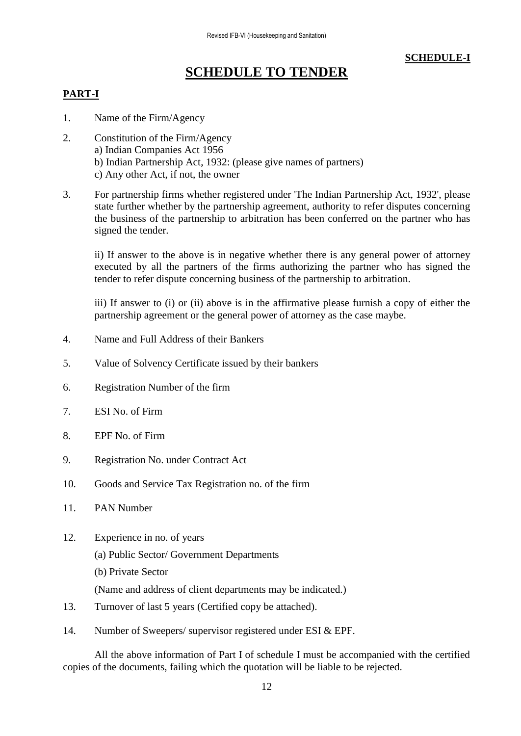### **SCHEDULE-I**

# **SCHEDULE TO TENDER**

### **PART-I**

- 1. Name of the Firm/Agency
- 2. Constitution of the Firm/Agency a) Indian Companies Act 1956 b) Indian Partnership Act, 1932: (please give names of partners) c) Any other Act, if not, the owner
- 3. For partnership firms whether registered under 'The Indian Partnership Act, 1932', please state further whether by the partnership agreement, authority to refer disputes concerning the business of the partnership to arbitration has been conferred on the partner who has signed the tender.

ii) If answer to the above is in negative whether there is any general power of attorney executed by all the partners of the firms authorizing the partner who has signed the tender to refer dispute concerning business of the partnership to arbitration.

iii) If answer to (i) or (ii) above is in the affirmative please furnish a copy of either the partnership agreement or the general power of attorney as the case maybe.

- 4. Name and Full Address of their Bankers
- 5. Value of Solvency Certificate issued by their bankers
- 6. Registration Number of the firm
- 7. ESI No. of Firm
- 8. EPF No. of Firm
- 9. Registration No. under Contract Act
- 10. Goods and Service Tax Registration no. of the firm
- 11. PAN Number
- 12. Experience in no. of years
	- (a) Public Sector/ Government Departments
	- (b) Private Sector

(Name and address of client departments may be indicated.)

- 13. Turnover of last 5 years (Certified copy be attached).
- 14. Number of Sweepers/ supervisor registered under ESI & EPF.

All the above information of Part I of schedule I must be accompanied with the certified copies of the documents, failing which the quotation will be liable to be rejected.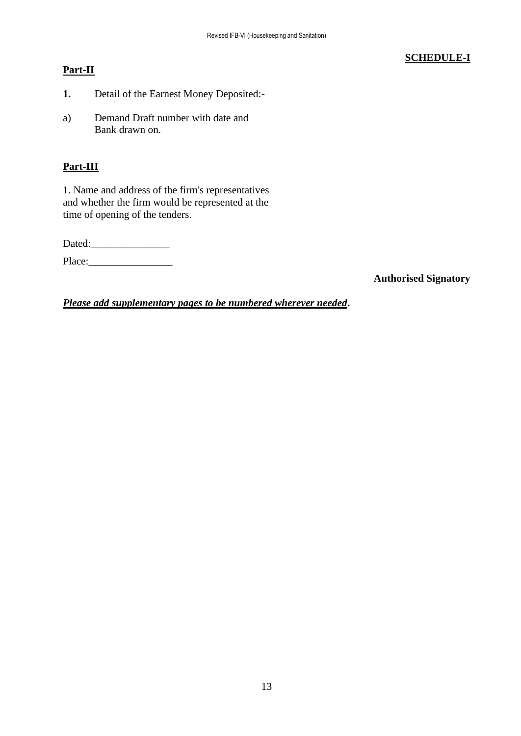### **Part-II**

## **SCHEDULE-I**

- **1.** Detail of the Earnest Money Deposited:-
- a) Demand Draft number with date and Bank drawn on.

### **Part-III**

1. Name and address of the firm's representatives and whether the firm would be represented at the time of opening of the tenders.

Dated:

Place:\_\_\_\_\_\_\_\_\_\_\_\_\_\_\_\_

**Authorised Signatory**

*Please add supplementary pages to be numbered wherever needed***.**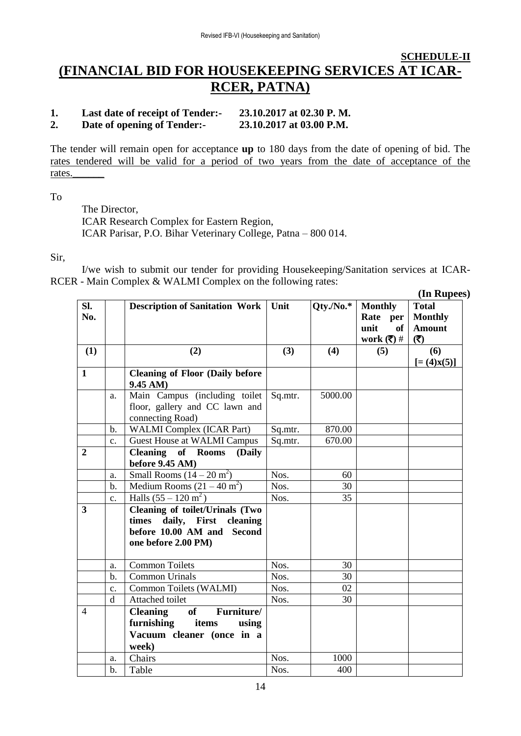# **SCHEDULE-II (FINANCIAL BID FOR HOUSEKEEPING SERVICES AT ICAR-RCER, PATNA)**

#### **1. Last date of receipt of Tender:- 23.10.2017 at 02.30 P. M. 2. Date of opening of Tender:- 23.10.2017 at 03.00 P.M.**

The tender will remain open for acceptance **up** to 180 days from the date of opening of bid. The rates tendered will be valid for a period of two years from the date of acceptance of the rates.\_\_\_\_\_\_

To

The Director, ICAR Research Complex for Eastern Region, ICAR Parisar, P.O. Bihar Veterinary College, Patna – 800 014.

Sir,

I/we wish to submit our tender for providing Housekeeping/Sanitation services at ICAR-RCER - Main Complex & WALMI Complex on the following rates:

|                         |                |                                                                                                                            |         |                 |                                                                                    | (In Rupees)                                            |
|-------------------------|----------------|----------------------------------------------------------------------------------------------------------------------------|---------|-----------------|------------------------------------------------------------------------------------|--------------------------------------------------------|
| SI.<br>No.              |                | <b>Description of Sanitation Work</b>                                                                                      | Unit    | $Qty.$ /No. $*$ | <b>Monthly</b><br>Rate per<br>unit<br>of<br>work $(\overline{\overline{\zeta}})$ # | <b>Total</b><br><b>Monthly</b><br><b>Amount</b><br>(3) |
| (1)                     |                | (2)                                                                                                                        | (3)     | (4)             | (5)                                                                                | (6)                                                    |
| $\mathbf{1}$            |                | <b>Cleaning of Floor (Daily before</b><br>9.45 AM)                                                                         |         |                 |                                                                                    | $[=(4)X(5)]$                                           |
|                         | a.             | Main Campus (including toilet<br>floor, gallery and CC lawn and<br>connecting Road)                                        | Sq.mtr. | 5000.00         |                                                                                    |                                                        |
|                         | b.             | <b>WALMI</b> Complex (ICAR Part)                                                                                           | Sq.mtr. | 870.00          |                                                                                    |                                                        |
|                         | $\mathbf{c}$ . | <b>Guest House at WALMI Campus</b>                                                                                         | Sq.mtr. | 670.00          |                                                                                    |                                                        |
| $\boldsymbol{2}$        |                | <b>Cleaning of Rooms</b><br>(Daily<br>before 9.45 AM)                                                                      |         |                 |                                                                                    |                                                        |
|                         | a.             | Small Rooms $(14-20 \text{ m}^2)$                                                                                          | Nos.    | 60              |                                                                                    |                                                        |
|                         | b.             | Medium Rooms $(21 – 40 m2)$                                                                                                | Nos.    | 30              |                                                                                    |                                                        |
|                         | c.             | Halls $(55 - 120 \text{ m}^2)$                                                                                             | Nos.    | 35              |                                                                                    |                                                        |
| $\overline{\mathbf{3}}$ |                | <b>Cleaning of toilet/Urinals (Two</b><br>times daily, First cleaning<br>before 10.00 AM and Second<br>one before 2.00 PM) |         |                 |                                                                                    |                                                        |
|                         | a.             | <b>Common Toilets</b>                                                                                                      | Nos.    | 30              |                                                                                    |                                                        |
|                         | $b$ .          | <b>Common Urinals</b>                                                                                                      | Nos.    | 30              |                                                                                    |                                                        |
|                         | c.             | Common Toilets (WALMI)                                                                                                     | Nos.    | 02              |                                                                                    |                                                        |
|                         | d              | Attached toilet                                                                                                            | Nos.    | 30              |                                                                                    |                                                        |
| $\overline{4}$          |                | <b>Cleaning</b><br>Furniture/<br>of<br>furnishing<br>items<br>using<br>Vacuum cleaner (once in a<br>week)                  |         |                 |                                                                                    |                                                        |
|                         | a.             | Chairs                                                                                                                     | Nos.    | 1000            |                                                                                    |                                                        |
|                         | $b$ .          | Table                                                                                                                      | Nos.    | 400             |                                                                                    |                                                        |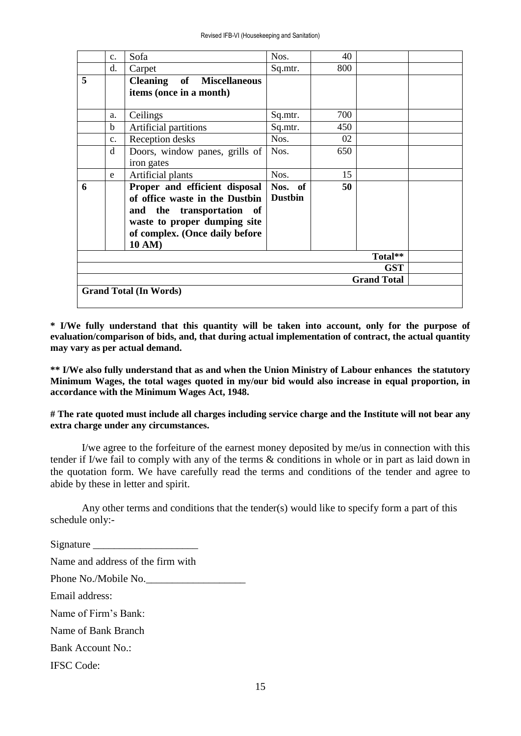|   | C <sub>1</sub>                   | Sofa                                                                                                                                                                     | Nos.                      | 40  |         |  |
|---|----------------------------------|--------------------------------------------------------------------------------------------------------------------------------------------------------------------------|---------------------------|-----|---------|--|
|   | d.                               | Carpet                                                                                                                                                                   | Sq.mtr.                   | 800 |         |  |
| 5 |                                  | <b>Cleaning</b> of Miscellaneous<br>items (once in a month)                                                                                                              |                           |     |         |  |
|   | a.                               | Ceilings                                                                                                                                                                 | Sq.mtr.                   | 700 |         |  |
|   | b.                               | Artificial partitions                                                                                                                                                    | Sq.mtr.                   | 450 |         |  |
|   | $\mathbf{c}$ .                   | Reception desks                                                                                                                                                          | Nos.                      | 02  |         |  |
|   | d                                | Doors, window panes, grills of<br>iron gates                                                                                                                             | Nos.                      | 650 |         |  |
|   | e                                | Artificial plants                                                                                                                                                        | Nos.                      | 15  |         |  |
| 6 |                                  | Proper and efficient disposal<br>of office waste in the Dustbin<br>and the transportation of<br>waste to proper dumping site<br>of complex. (Once daily before<br>10 AM) | Nos. of<br><b>Dustbin</b> | 50  |         |  |
|   |                                  |                                                                                                                                                                          |                           |     | Total** |  |
|   | <b>GST</b><br><b>Grand Total</b> |                                                                                                                                                                          |                           |     |         |  |
|   | <b>Grand Total (In Words)</b>    |                                                                                                                                                                          |                           |     |         |  |

**\* I/We fully understand that this quantity will be taken into account, only for the purpose of evaluation/comparison of bids, and, that during actual implementation of contract, the actual quantity may vary as per actual demand.**

**\*\* I/We also fully understand that as and when the Union Ministry of Labour enhances the statutory Minimum Wages, the total wages quoted in my/our bid would also increase in equal proportion, in accordance with the Minimum Wages Act, 1948.** 

**# The rate quoted must include all charges including service charge and the Institute will not bear any extra charge under any circumstances.**

I/we agree to the forfeiture of the earnest money deposited by me/us in connection with this tender if I/we fail to comply with any of the terms & conditions in whole or in part as laid down in the quotation form. We have carefully read the terms and conditions of the tender and agree to abide by these in letter and spirit.

Any other terms and conditions that the tender(s) would like to specify form a part of this schedule only:-

Signature \_\_\_\_\_\_\_\_\_\_\_\_\_\_\_\_\_\_\_\_ Name and address of the firm with Phone No./Mobile No. Email address: Name of Firm's Bank: Name of Bank Branch Bank Account No.: IFSC Code: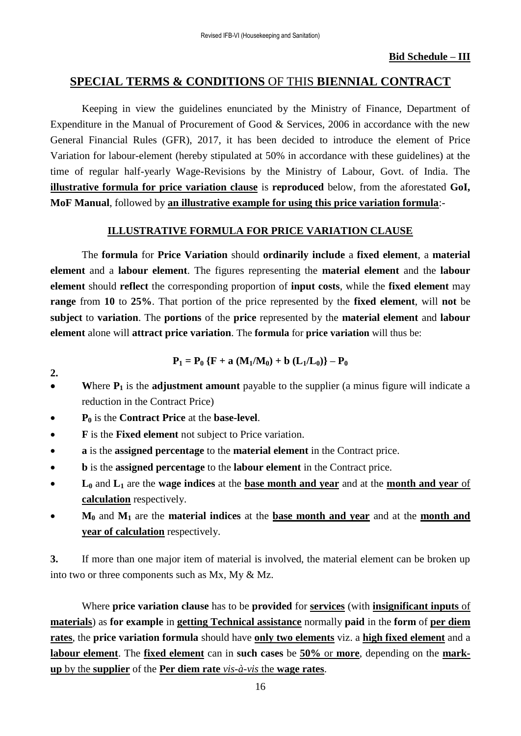# **SPECIAL TERMS & CONDITIONS** OF THIS **BIENNIAL CONTRACT**

Keeping in view the guidelines enunciated by the Ministry of Finance, Department of Expenditure in the Manual of Procurement of Good & Services, 2006 in accordance with the new General Financial Rules (GFR), 2017, it has been decided to introduce the element of Price Variation for labour-element (hereby stipulated at 50% in accordance with these guidelines) at the time of regular half-yearly Wage-Revisions by the Ministry of Labour, Govt. of India. The **illustrative formula for price variation clause** is **reproduced** below, from the aforestated **GoI, MoF Manual**, followed by **an illustrative example for using this price variation formula**:-

### **ILLUSTRATIVE FORMULA FOR PRICE VARIATION CLAUSE**

The **formula** for **Price Variation** should **ordinarily include** a **fixed element**, a **material element** and a **labour element**. The figures representing the **material element** and the **labour element** should **reflect** the corresponding proportion of **input costs**, while the **fixed element** may **range** from **10** to **25%**. That portion of the price represented by the **fixed element**, will **not** be **subject** to **variation**. The **portions** of the **price** represented by the **material element** and **labour element** alone will **attract price variation**. The **formula** for **price variation** will thus be:

$$
P_1 = P_0 \{F + a (M_1/M_0) + b (L_1/L_0)\} - P_0
$$

- **W**here **P<sup>1</sup>** is the **adjustment amount** payable to the supplier (a minus figure will indicate a reduction in the Contract Price)
- **P<sup>0</sup>** is the **Contract Price** at the **base-level**.

**2.**

- **F** is the **Fixed element** not subject to Price variation.
- **a** is the **assigned percentage** to the **material element** in the Contract price.
- **b** is the **assigned percentage** to the **labour element** in the Contract price.
- **L<sup>0</sup>** and **L<sup>1</sup>** are the **wage indices** at the **base month and year** and at the **month and year** of **calculation** respectively.
- **M<sup>0</sup>** and **M<sup>1</sup>** are the **material indices** at the **base month and year** and at the **month and year of calculation** respectively.

**3.** If more than one major item of material is involved, the material element can be broken up into two or three components such as Mx, My & Mz.

Where **price variation clause** has to be **provided** for **services** (with **insignificant inputs** of **materials**) as **for example** in **getting Technical assistance** normally **paid** in the **form** of **per diem rates**, the **price variation formula** should have **only two elements** viz. a **high fixed element** and a **labour element**. The **fixed element** can in **such cases** be **50%** or **more**, depending on the **markup** by the **supplier** of the **Per diem rate** *vis-à-vis* the **wage rates**.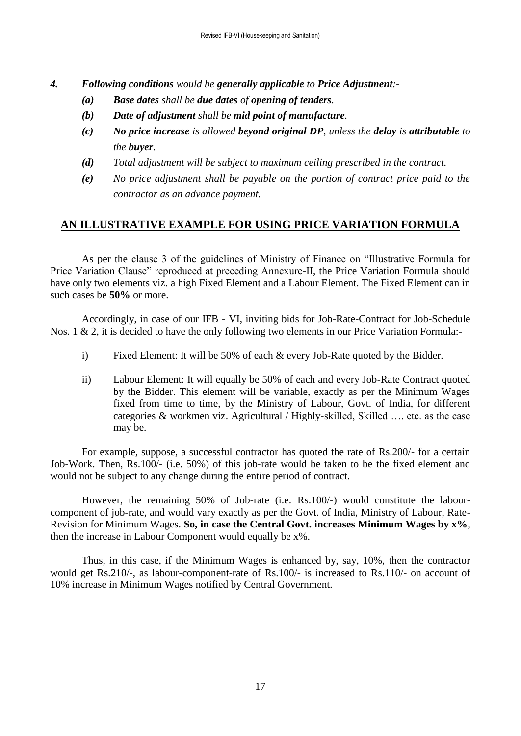- *4. Following conditions would be generally applicable to Price Adjustment:-*
	- *(a) Base dates shall be due dates of opening of tenders.*
	- *(b) Date of adjustment shall be mid point of manufacture.*
	- *(c) No price increase is allowed beyond original DP, unless the delay is attributable to the buyer.*
	- *(d) Total adjustment will be subject to maximum ceiling prescribed in the contract.*
	- *(e) No price adjustment shall be payable on the portion of contract price paid to the contractor as an advance payment.*

### **AN ILLUSTRATIVE EXAMPLE FOR USING PRICE VARIATION FORMULA**

As per the clause 3 of the guidelines of Ministry of Finance on "Illustrative Formula for Price Variation Clause" reproduced at preceding Annexure-II, the Price Variation Formula should have only two elements viz. a high Fixed Element and a Labour Element. The Fixed Element can in such cases be **50%** or more.

Accordingly, in case of our IFB - VI, inviting bids for Job-Rate-Contract for Job-Schedule Nos. 1 & 2, it is decided to have the only following two elements in our Price Variation Formula:-

- i) Fixed Element: It will be 50% of each & every Job-Rate quoted by the Bidder.
- ii) Labour Element: It will equally be 50% of each and every Job-Rate Contract quoted by the Bidder. This element will be variable, exactly as per the Minimum Wages fixed from time to time, by the Ministry of Labour, Govt. of India, for different categories & workmen viz. Agricultural / Highly-skilled, Skilled …. etc. as the case may be.

For example, suppose, a successful contractor has quoted the rate of Rs.200/- for a certain Job-Work. Then, Rs.100/- (i.e. 50%) of this job-rate would be taken to be the fixed element and would not be subject to any change during the entire period of contract.

However, the remaining 50% of Job-rate (i.e. Rs.100/-) would constitute the labourcomponent of job-rate, and would vary exactly as per the Govt. of India, Ministry of Labour, Rate-Revision for Minimum Wages. **So, in case the Central Govt. increases Minimum Wages by x%**, then the increase in Labour Component would equally be x%.

Thus, in this case, if the Minimum Wages is enhanced by, say, 10%, then the contractor would get Rs.210/-, as labour-component-rate of Rs.100/- is increased to Rs.110/- on account of 10% increase in Minimum Wages notified by Central Government.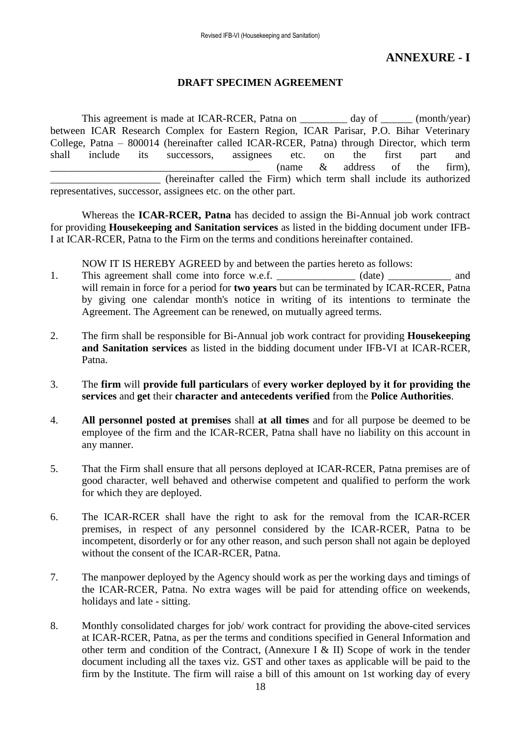# **ANNEXURE - I**

### **DRAFT SPECIMEN AGREEMENT**

This agreement is made at ICAR-RCER, Patna on day of (month/year) between ICAR Research Complex for Eastern Region, ICAR Parisar, P.O. Bihar Veterinary College, Patna – 800014 (hereinafter called ICAR-RCER, Patna) through Director, which term shall include its successors, assignees etc. on the first part and  $\frac{1}{\sqrt{2}}$  (name  $\&$  address of the firm), \_\_\_\_\_\_\_\_\_\_\_\_\_\_\_\_\_\_\_\_\_ (hereinafter called the Firm) which term shall include its authorized representatives, successor, assignees etc. on the other part.

Whereas the **ICAR-RCER, Patna** has decided to assign the Bi-Annual job work contract for providing **Housekeeping and Sanitation services** as listed in the bidding document under IFB-I at ICAR-RCER, Patna to the Firm on the terms and conditions hereinafter contained.

NOW IT IS HEREBY AGREED by and between the parties hereto as follows:

- 1. This agreement shall come into force w.e.f.  $(date)$  and will remain in force for a period for **two years** but can be terminated by ICAR-RCER, Patna by giving one calendar month's notice in writing of its intentions to terminate the Agreement. The Agreement can be renewed, on mutually agreed terms.
- 2. The firm shall be responsible for Bi-Annual job work contract for providing **Housekeeping and Sanitation services** as listed in the bidding document under IFB-VI at ICAR-RCER, Patna.
- 3. The **firm** will **provide full particulars** of **every worker deployed by it for providing the services** and **get** their **character and antecedents verified** from the **Police Authorities**.
- 4. **All personnel posted at premises** shall **at all times** and for all purpose be deemed to be employee of the firm and the ICAR-RCER, Patna shall have no liability on this account in any manner.
- 5. That the Firm shall ensure that all persons deployed at ICAR-RCER, Patna premises are of good character, well behaved and otherwise competent and qualified to perform the work for which they are deployed.
- 6. The ICAR-RCER shall have the right to ask for the removal from the ICAR-RCER premises, in respect of any personnel considered by the ICAR-RCER, Patna to be incompetent, disorderly or for any other reason, and such person shall not again be deployed without the consent of the ICAR-RCER, Patna.
- 7. The manpower deployed by the Agency should work as per the working days and timings of the ICAR-RCER, Patna. No extra wages will be paid for attending office on weekends, holidays and late - sitting.
- 8. Monthly consolidated charges for job/ work contract for providing the above-cited services at ICAR-RCER, Patna, as per the terms and conditions specified in General Information and other term and condition of the Contract, (Annexure I & II) Scope of work in the tender document including all the taxes viz. GST and other taxes as applicable will be paid to the firm by the Institute. The firm will raise a bill of this amount on 1st working day of every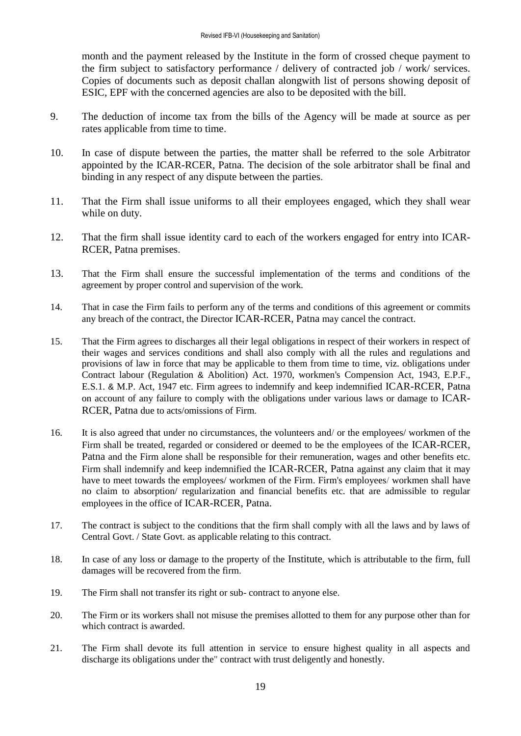month and the payment released by the Institute in the form of crossed cheque payment to the firm subject to satisfactory performance / delivery of contracted job / work/ services. Copies of documents such as deposit challan alongwith list of persons showing deposit of ESIC, EPF with the concerned agencies are also to be deposited with the bill.

- 9. The deduction of income tax from the bills of the Agency will be made at source as per rates applicable from time to time.
- 10. In case of dispute between the parties, the matter shall be referred to the sole Arbitrator appointed by the ICAR-RCER, Patna. The decision of the sole arbitrator shall be final and binding in any respect of any dispute between the parties.
- 11. That the Firm shall issue uniforms to all their employees engaged, which they shall wear while on duty.
- 12. That the firm shall issue identity card to each of the workers engaged for entry into ICAR-RCER, Patna premises.
- 13. That the Firm shall ensure the successful implementation of the terms and conditions of the agreement by proper control and supervision of the work.
- 14. That in case the Firm fails to perform any of the terms and conditions of this agreement or commits any breach of the contract, the Director ICAR-RCER, Patna may cancel the contract.
- 15. That the Firm agrees to discharges all their legal obligations in respect of their workers in respect of their wages and services conditions and shall also comply with all the rules and regulations and provisions of law in force that may be applicable to them from time to time, viz. obligations under Contract labour (Regulation & Abolition) Act. 1970, workmen's Compension Act, 1943, E.P.F., E.S.1. & M.P. Act, 1947 etc. Firm agrees to indemnify and keep indemnified ICAR-RCER, Patna on account of any failure to comply with the obligations under various laws or damage to ICAR-RCER, Patna due to acts/omissions of Firm.
- 16. It is also agreed that under no circumstances, the volunteers and/ or the employees/ workmen of the Firm shall be treated, regarded or considered or deemed to be the employees of the ICAR-RCER, Patna and the Firm alone shall be responsible for their remuneration, wages and other benefits etc. Firm shall indemnify and keep indemnified the ICAR-RCER, Patna against any claim that it may have to meet towards the employees/ workmen of the Firm. Firm's employees/ workmen shall have no claim to absorption/ regularization and financial benefits etc. that are admissible to regular employees in the office of ICAR-RCER, Patna.
- 17. The contract is subject to the conditions that the firm shall comply with all the laws and by laws of Central Govt. / State Govt. as applicable relating to this contract.
- 18. In case of any loss or damage to the property of the Institute, which is attributable to the firm, full damages will be recovered from the firm.
- 19. The Firm shall not transfer its right or sub- contract to anyone else.
- 20. The Firm or its workers shall not misuse the premises allotted to them for any purpose other than for which contract is awarded.
- 21. The Firm shall devote its full attention in service to ensure highest quality in all aspects and discharge its obligations under the" contract with trust deligently and honestly.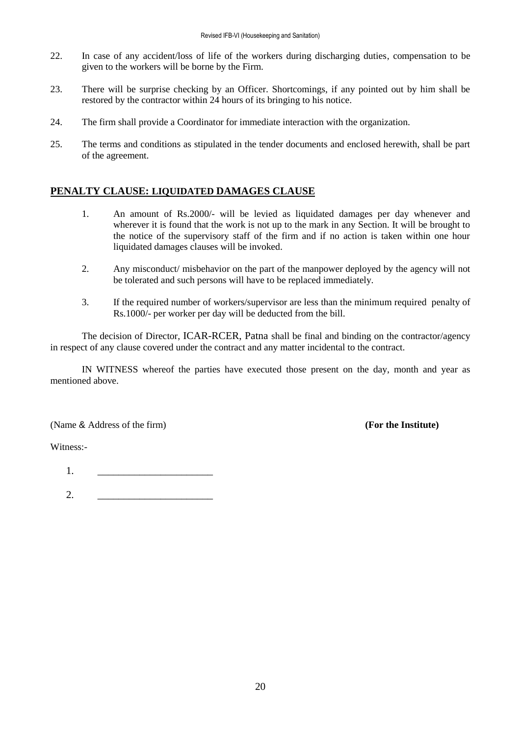- 22. In case of any accident/loss of life of the workers during discharging duties, compensation to be given to the workers will be borne by the Firm.
- 23. There will be surprise checking by an Officer. Shortcomings, if any pointed out by him shall be restored by the contractor within 24 hours of its bringing to his notice.
- 24. The firm shall provide a Coordinator for immediate interaction with the organization.
- 25. The terms and conditions as stipulated in the tender documents and enclosed herewith, shall be part of the agreement.

### **PENALTY CLAUSE: LIQUIDATED DAMAGES CLAUSE**

- 1. An amount of Rs.2000/- will be levied as liquidated damages per day whenever and wherever it is found that the work is not up to the mark in any Section. It will be brought to the notice of the supervisory staff of the firm and if no action is taken within one hour liquidated damages clauses will be invoked.
- 2. Any misconduct/ misbehavior on the part of the manpower deployed by the agency will not be tolerated and such persons will have to be replaced immediately.
- 3. If the required number of workers/supervisor are less than the minimum required penalty of Rs.1000/- per worker per day will be deducted from the bill.

The decision of Director, ICAR-RCER, Patna shall be final and binding on the contractor/agency in respect of any clause covered under the contract and any matter incidental to the contract.

IN WITNESS whereof the parties have executed those present on the day, month and year as mentioned above.

(Name & Address of the firm) **(For the Institute)**

Witness:-

1. \_\_\_\_\_\_\_\_\_\_\_\_\_\_\_\_\_\_\_\_\_\_

2. \_\_\_\_\_\_\_\_\_\_\_\_\_\_\_\_\_\_\_\_\_\_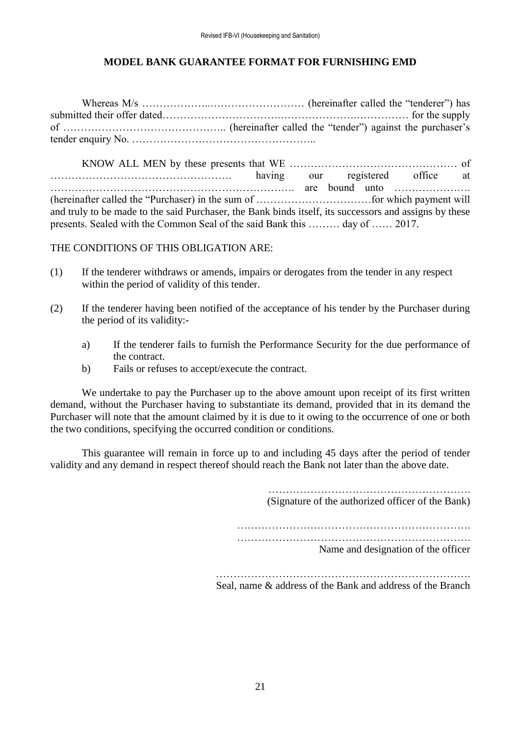### **MODEL BANK GUARANTEE FORMAT FOR FURNISHING EMD**

Whereas M/s ………………..……………………… (hereinafter called the "tenderer") has submitted their offer dated…………………………….………………….…………… for the supply of ……………………………………….. (hereinafter called the "tender") against the purchaser's tender enquiry No. ……………………………………………..

KNOW ALL MEN by these presents that WE ………………………………………… of ……………………………………………. having our registered office at ……………………………………………………………. are bound unto …………………. (hereinafter called the "Purchaser) in the sum of ……………………………for which payment will and truly to be made to the said Purchaser, the Bank binds itself, its successors and assigns by these presents. Sealed with the Common Seal of the said Bank this ……… day of …… 2017.

THE CONDITIONS OF THIS OBLIGATION ARE:

- (1) If the tenderer withdraws or amends, impairs or derogates from the tender in any respect within the period of validity of this tender.
- (2) If the tenderer having been notified of the acceptance of his tender by the Purchaser during the period of its validity:
	- a) If the tenderer fails to furnish the Performance Security for the due performance of the contract.
	- b) Fails or refuses to accept/execute the contract.

We undertake to pay the Purchaser up to the above amount upon receipt of its first written demand, without the Purchaser having to substantiate its demand, provided that in its demand the Purchaser will note that the amount claimed by it is due to it owing to the occurrence of one or both the two conditions, specifying the occurred condition or conditions.

This guarantee will remain in force up to and including 45 days after the period of tender validity and any demand in respect thereof should reach the Bank not later than the above date.

> (Signature of the authorized officer of the Bank) …………………………………………………………. …………………………………………………………. Name and designation of the officer

………………………………………………………………. Seal, name & address of the Bank and address of the Branch